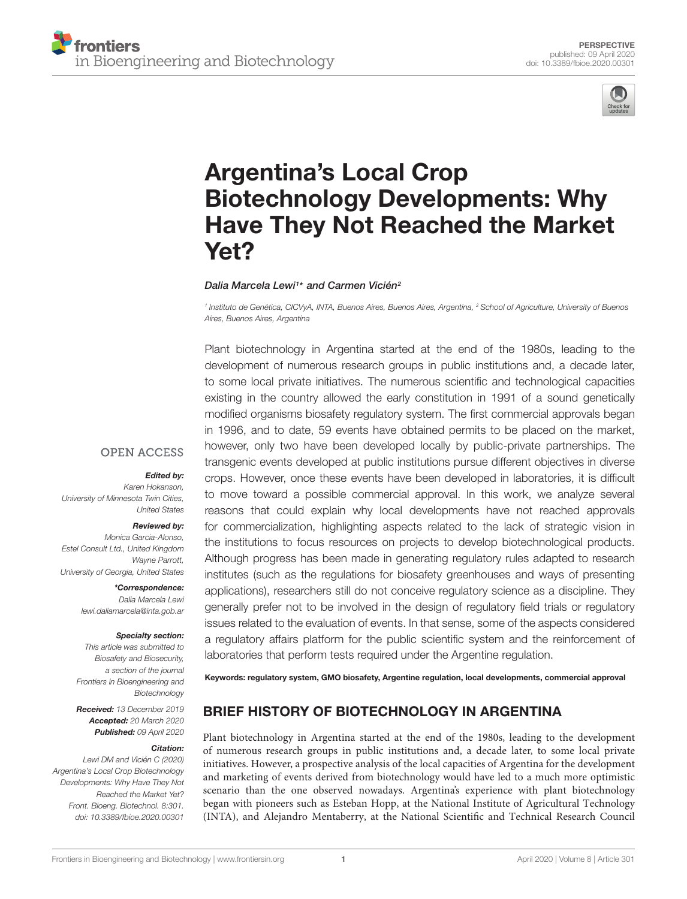



# Argentina's Local Crop Biotechnology Developments: Why [Have They Not Reached the Market](https://www.frontiersin.org/articles/10.3389/fbioe.2020.00301/full) Yet?

#### [Dalia Marcela Lewi](http://loop.frontiersin.org/people/746394/overview)1\* and [Carmen Vicién](http://loop.frontiersin.org/people/483012/overview)<sup>2</sup>

<sup>1</sup> Instituto de Genética, CICVyA, INTA, Buenos Aires, Buenos Aires, Argentina, <sup>2</sup> School of Agriculture, University of Buenos Aires, Buenos Aires, Argentina

Plant biotechnology in Argentina started at the end of the 1980s, leading to the development of numerous research groups in public institutions and, a decade later, to some local private initiatives. The numerous scientific and technological capacities existing in the country allowed the early constitution in 1991 of a sound genetically modified organisms biosafety regulatory system. The first commercial approvals began in 1996, and to date, 59 events have obtained permits to be placed on the market, however, only two have been developed locally by public-private partnerships. The transgenic events developed at public institutions pursue different objectives in diverse crops. However, once these events have been developed in laboratories, it is difficult to move toward a possible commercial approval. In this work, we analyze several reasons that could explain why local developments have not reached approvals for commercialization, highlighting aspects related to the lack of strategic vision in the institutions to focus resources on projects to develop biotechnological products. Although progress has been made in generating regulatory rules adapted to research institutes (such as the regulations for biosafety greenhouses and ways of presenting applications), researchers still do not conceive regulatory science as a discipline. They generally prefer not to be involved in the design of regulatory field trials or regulatory issues related to the evaluation of events. In that sense, some of the aspects considered a regulatory affairs platform for the public scientific system and the reinforcement of laboratories that perform tests required under the Argentine regulation.

Keywords: regulatory system, GMO biosafety, Argentine regulation, local developments, commercial approval

# BRIEF HISTORY OF BIOTECHNOLOGY IN ARGENTINA

Plant biotechnology in Argentina started at the end of the 1980s, leading to the development of numerous research groups in public institutions and, a decade later, to some local private initiatives. However, a prospective analysis of the local capacities of Argentina for the development and marketing of events derived from biotechnology would have led to a much more optimistic scenario than the one observed nowadays. Argentina's experience with plant biotechnology began with pioneers such as Esteban Hopp, at the National Institute of Agricultural Technology (INTA), and Alejandro Mentaberry, at the National Scientific and Technical Research Council

# **OPEN ACCESS**

#### Edited by:

Karen Hokanson, University of Minnesota Twin Cities, United States

#### Reviewed by:

Monica Garcia-Alonso, Estel Consult Ltd., United Kingdom Wayne Parrott, University of Georgia, United States

> \*Correspondence: Dalia Marcela Lewi lewi.daliamarcela@inta.gob.ar

#### Specialty section:

This article was submitted to Biosafety and Biosecurity, a section of the journal Frontiers in Bioengineering and Biotechnology

Received: 13 December 2019 Accepted: 20 March 2020 Published: 09 April 2020

#### Citation:

Lewi DM and Vicién C (2020) Argentina's Local Crop Biotechnology Developments: Why Have They Not Reached the Market Yet? Front. Bioeng. Biotechnol. 8:301. doi: [10.3389/fbioe.2020.00301](https://doi.org/10.3389/fbioe.2020.00301)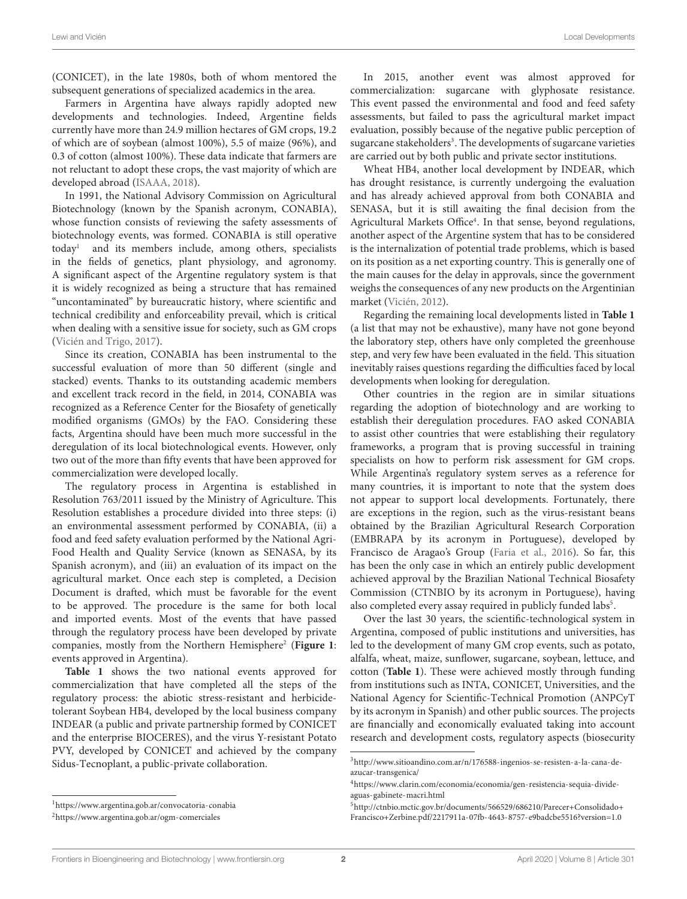(CONICET), in the late 1980s, both of whom mentored the subsequent generations of specialized academics in the area.

Farmers in Argentina have always rapidly adopted new developments and technologies. Indeed, Argentine fields currently have more than 24.9 million hectares of GM crops, 19.2 of which are of soybean (almost 100%), 5.5 of maize (96%), and 0.3 of cotton (almost 100%). These data indicate that farmers are not reluctant to adopt these crops, the vast majority of which are developed abroad [\(ISAAA,](#page-5-0) [2018\)](#page-5-0).

In 1991, the National Advisory Commission on Agricultural Biotechnology (known by the Spanish acronym, CONABIA), whose function consists of reviewing the safety assessments of biotechnology events, was formed. CONABIA is still operative today[1](#page-1-0) and its members include, among others, specialists in the fields of genetics, plant physiology, and agronomy. A significant aspect of the Argentine regulatory system is that it is widely recognized as being a structure that has remained "uncontaminated" by bureaucratic history, where scientific and technical credibility and enforceability prevail, which is critical when dealing with a sensitive issue for society, such as GM crops [\(Vicién and Trigo,](#page-6-0) [2017\)](#page-6-0).

Since its creation, CONABIA has been instrumental to the successful evaluation of more than 50 different (single and stacked) events. Thanks to its outstanding academic members and excellent track record in the field, in 2014, CONABIA was recognized as a Reference Center for the Biosafety of genetically modified organisms (GMOs) by the FAO. Considering these facts, Argentina should have been much more successful in the deregulation of its local biotechnological events. However, only two out of the more than fifty events that have been approved for commercialization were developed locally.

The regulatory process in Argentina is established in Resolution 763/2011 issued by the Ministry of Agriculture. This Resolution establishes a procedure divided into three steps: (i) an environmental assessment performed by CONABIA, (ii) a food and feed safety evaluation performed by the National Agri-Food Health and Quality Service (known as SENASA, by its Spanish acronym), and (iii) an evaluation of its impact on the agricultural market. Once each step is completed, a Decision Document is drafted, which must be favorable for the event to be approved. The procedure is the same for both local and imported events. Most of the events that have passed through the regulatory process have been developed by private companies, mostly from the Northern Hemisphere<sup>[2](#page-1-1)</sup> ([Figure 1](#page-2-0): events approved in Argentina).

**[Table 1](#page-3-0)** shows the two national events approved for commercialization that have completed all the steps of the regulatory process: the abiotic stress-resistant and herbicidetolerant Soybean HB4, developed by the local business company INDEAR (a public and private partnership formed by CONICET and the enterprise BIOCERES), and the virus Y-resistant Potato PVY, developed by CONICET and achieved by the company Sidus-Tecnoplant, a public-private collaboration.

In 2015, another event was almost approved for commercialization: sugarcane with glyphosate resistance. This event passed the environmental and food and feed safety assessments, but failed to pass the agricultural market impact evaluation, possibly because of the negative public perception of sugarcane stakeholders<sup>[3](#page-1-2)</sup>. The developments of sugarcane varieties are carried out by both public and private sector institutions.

Wheat HB4, another local development by INDEAR, which has drought resistance, is currently undergoing the evaluation and has already achieved approval from both CONABIA and SENASA, but it is still awaiting the final decision from the Agricultural Markets Office<sup>[4](#page-1-3)</sup>. In that sense, beyond regulations, another aspect of the Argentine system that has to be considered is the internalization of potential trade problems, which is based on its position as a net exporting country. This is generally one of the main causes for the delay in approvals, since the government weighs the consequences of any new products on the Argentinian market [\(Vicién,](#page-6-1) [2012\)](#page-6-1).

Regarding the remaining local developments listed in **[Table 1](#page-3-0)** (a list that may not be exhaustive), many have not gone beyond the laboratory step, others have only completed the greenhouse step, and very few have been evaluated in the field. This situation inevitably raises questions regarding the difficulties faced by local developments when looking for deregulation.

Other countries in the region are in similar situations regarding the adoption of biotechnology and are working to establish their deregulation procedures. FAO asked CONABIA to assist other countries that were establishing their regulatory frameworks, a program that is proving successful in training specialists on how to perform risk assessment for GM crops. While Argentina's regulatory system serves as a reference for many countries, it is important to note that the system does not appear to support local developments. Fortunately, there are exceptions in the region, such as the virus-resistant beans obtained by the Brazilian Agricultural Research Corporation (EMBRAPA by its acronym in Portuguese), developed by Francisco de Aragao's Group [\(Faria et al.,](#page-5-1) [2016\)](#page-5-1). So far, this has been the only case in which an entirely public development achieved approval by the Brazilian National Technical Biosafety Commission (CTNBIO by its acronym in Portuguese), having also completed every assay required in publicly funded labs<sup>[5](#page-1-4)</sup>.

Over the last 30 years, the scientific-technological system in Argentina, composed of public institutions and universities, has led to the development of many GM crop events, such as potato, alfalfa, wheat, maize, sunflower, sugarcane, soybean, lettuce, and cotton (**[Table 1](#page-3-0)**). These were achieved mostly through funding from institutions such as INTA, CONICET, Universities, and the National Agency for Scientific-Technical Promotion (ANPCyT by its acronym in Spanish) and other public sources. The projects are financially and economically evaluated taking into account research and development costs, regulatory aspects (biosecurity

<span id="page-1-0"></span><sup>1</sup><https://www.argentina.gob.ar/convocatoria-conabia>

<span id="page-1-1"></span><sup>2</sup><https://www.argentina.gob.ar/ogm-comerciales>

<span id="page-1-2"></span><sup>3</sup>[http://www.sitioandino.com.ar/n/176588-ingenios-se-resisten-a-la-cana-de](http://www.sitioandino.com.ar/n/176588-ingenios-se-resisten-a-la-cana-de-azucar-transgenica/)[azucar-transgenica/](http://www.sitioandino.com.ar/n/176588-ingenios-se-resisten-a-la-cana-de-azucar-transgenica/)

<span id="page-1-3"></span><sup>4</sup>[https://www.clarin.com/economia/economia/gen-resistencia-sequia-divide](https://www.clarin.com/economia/economia/gen-resistencia-sequia-divide-aguas-gabinete-macri.html)[aguas-gabinete-macri.html](https://www.clarin.com/economia/economia/gen-resistencia-sequia-divide-aguas-gabinete-macri.html)

<span id="page-1-4"></span><sup>5</sup>[http://ctnbio.mctic.gov.br/documents/566529/686210/Parecer+Consolidado+](http://ctnbio.mctic.gov.br/documents/566529/686210/Parecer+Consolidado+Francisco+Zerbine.pdf/2217911a-07fb-4643-8757-e9badcbe5516?version=1.0) [Francisco+Zerbine.pdf/2217911a-07fb-4643-8757-e9badcbe5516?version=1.0](http://ctnbio.mctic.gov.br/documents/566529/686210/Parecer+Consolidado+Francisco+Zerbine.pdf/2217911a-07fb-4643-8757-e9badcbe5516?version=1.0)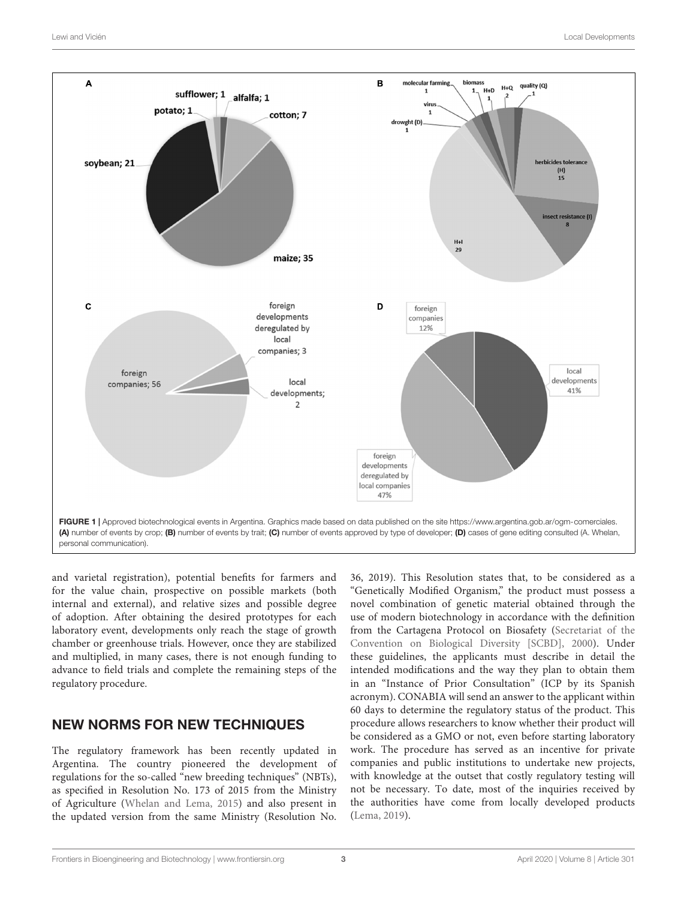

<span id="page-2-0"></span>and varietal registration), potential benefits for farmers and for the value chain, prospective on possible markets (both internal and external), and relative sizes and possible degree of adoption. After obtaining the desired prototypes for each laboratory event, developments only reach the stage of growth chamber or greenhouse trials. However, once they are stabilized and multiplied, in many cases, there is not enough funding to advance to field trials and complete the remaining steps of the regulatory procedure.

# NEW NORMS FOR NEW TECHNIQUES

The regulatory framework has been recently updated in Argentina. The country pioneered the development of regulations for the so-called "new breeding techniques" (NBTs), as specified in Resolution No. 173 of 2015 from the Ministry of Agriculture [\(Whelan and Lema,](#page-6-2) [2015\)](#page-6-2) and also present in the updated version from the same Ministry (Resolution No.

36, 2019). This Resolution states that, to be considered as a "Genetically Modified Organism," the product must possess a novel combination of genetic material obtained through the use of modern biotechnology in accordance with the definition from the Cartagena Protocol on Biosafety [\(Secretariat of the](#page-6-3) [Convention on Biological Diversity \[SCBD\],](#page-6-3) [2000\)](#page-6-3). Under these guidelines, the applicants must describe in detail the intended modifications and the way they plan to obtain them in an "Instance of Prior Consultation" (ICP by its Spanish acronym). CONABIA will send an answer to the applicant within 60 days to determine the regulatory status of the product. This procedure allows researchers to know whether their product will be considered as a GMO or not, even before starting laboratory work. The procedure has served as an incentive for private companies and public institutions to undertake new projects, with knowledge at the outset that costly regulatory testing will not be necessary. To date, most of the inquiries received by the authorities have come from locally developed products [\(Lema,](#page-6-4) [2019\)](#page-6-4).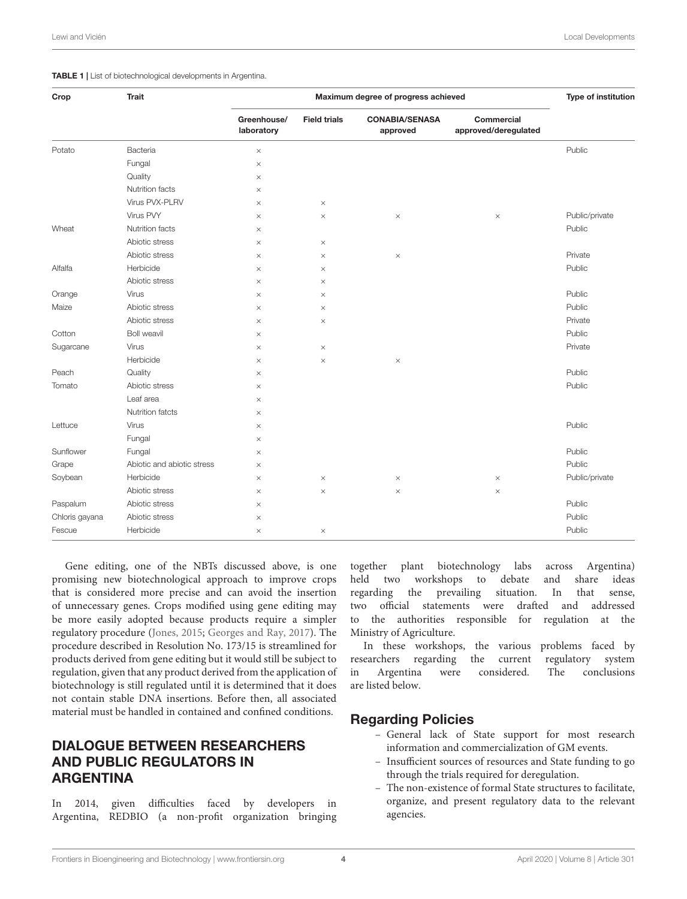#### <span id="page-3-0"></span>TABLE 1 | List of biotechnological developments in Argentina.

| Crop           | <b>Trait</b>               | Maximum degree of progress achieved |                     |                                   |                                    | Type of institution |
|----------------|----------------------------|-------------------------------------|---------------------|-----------------------------------|------------------------------------|---------------------|
|                |                            | Greenhouse/<br>laboratory           | <b>Field trials</b> | <b>CONABIA/SENASA</b><br>approved | Commercial<br>approved/deregulated |                     |
| Potato         | Bacteria                   | $\times$                            |                     |                                   |                                    | Public              |
|                | Fungal                     | $\times$                            |                     |                                   |                                    |                     |
|                | Quality                    | $\times$                            |                     |                                   |                                    |                     |
|                | Nutrition facts            | $\times$                            |                     |                                   |                                    |                     |
|                | Virus PVX-PLRV             | $\times$                            | $\times$            |                                   |                                    |                     |
|                | Virus PVY                  | $\times$                            | $\times$            | $\times$                          | $\times$                           | Public/private      |
| Wheat          | Nutrition facts            | $\times$                            |                     |                                   |                                    | Public              |
|                | Abiotic stress             | $\times$                            | $\times$            |                                   |                                    |                     |
|                | Abiotic stress             | $\times$                            | $\times$            | $\times$                          |                                    | Private             |
| Alfalfa        | Herbicide                  | $\times$                            | $\times$            |                                   |                                    | Public              |
|                | Abiotic stress             | $\times$                            | $\times$            |                                   |                                    |                     |
| Orange         | Virus                      | $\times$                            | $\times$            |                                   |                                    | Public              |
| Maize          | Abiotic stress             | $\times$                            | $\times$            |                                   |                                    | Public              |
|                | Abiotic stress             | $\times$                            | $\times$            |                                   |                                    | Private             |
| Cotton         | <b>Boll weavil</b>         | $\times$                            |                     |                                   |                                    | Public              |
| Sugarcane      | Virus                      | $\times$                            | $\times$            |                                   |                                    | Private             |
|                | Herbicide                  | $\times$                            | $\times$            | $\times$                          |                                    |                     |
| Peach          | Quality                    | $\times$                            |                     |                                   |                                    | Public              |
| Tomato         | Abiotic stress             | $\times$                            |                     |                                   |                                    | Public              |
|                | Leaf area                  | $\times$                            |                     |                                   |                                    |                     |
|                | Nutrition fatcts           | $\times$                            |                     |                                   |                                    |                     |
| Lettuce        | Virus                      | $\times$                            |                     |                                   |                                    | Public              |
|                | Fungal                     | $\times$                            |                     |                                   |                                    |                     |
| Sunflower      | Fungal                     | $\times$                            |                     |                                   |                                    | Public              |
| Grape          | Abiotic and abiotic stress | $\times$                            |                     |                                   |                                    | Public              |
| Soybean        | Herbicide                  | $\times$                            | $\times$            | $\times$                          | $\times$                           | Public/private      |
|                | Abiotic stress             | $\times$                            | $\times$            | $\times$                          | $\times$                           |                     |
| Paspalum       | Abiotic stress             | $\times$                            |                     |                                   |                                    | Public              |
| Chloris gayana | Abiotic stress             | $\times$                            |                     |                                   |                                    | Public              |
| Fescue         | Herbicide                  | $\times$                            | $\times$            |                                   |                                    | Public              |

Gene editing, one of the NBTs discussed above, is one promising new biotechnological approach to improve crops that is considered more precise and can avoid the insertion of unnecessary genes. Crops modified using gene editing may be more easily adopted because products require a simpler regulatory procedure [\(Jones,](#page-5-2) [2015;](#page-5-2) [Georges and Ray,](#page-5-3) [2017\)](#page-5-3). The procedure described in Resolution No. 173/15 is streamlined for products derived from gene editing but it would still be subject to regulation, given that any product derived from the application of biotechnology is still regulated until it is determined that it does not contain stable DNA insertions. Before then, all associated material must be handled in contained and confined conditions.

# DIALOGUE BETWEEN RESEARCHERS AND PUBLIC REGULATORS IN ARGENTINA

In 2014, given difficulties faced by developers in Argentina, REDBIO (a non-profit organization bringing

together plant biotechnology labs across Argentina) held two workshops to debate and share ideas regarding the prevailing situation. In that sense, two official statements were drafted and addressed to the authorities responsible for regulation at the Ministry of Agriculture.

In these workshops, the various problems faced by researchers regarding the current regulatory system in Argentina were considered. The conclusions are listed below.

## Regarding Policies

- General lack of State support for most research information and commercialization of GM events.
- Insufficient sources of resources and State funding to go through the trials required for deregulation.
- The non-existence of formal State structures to facilitate, organize, and present regulatory data to the relevant agencies.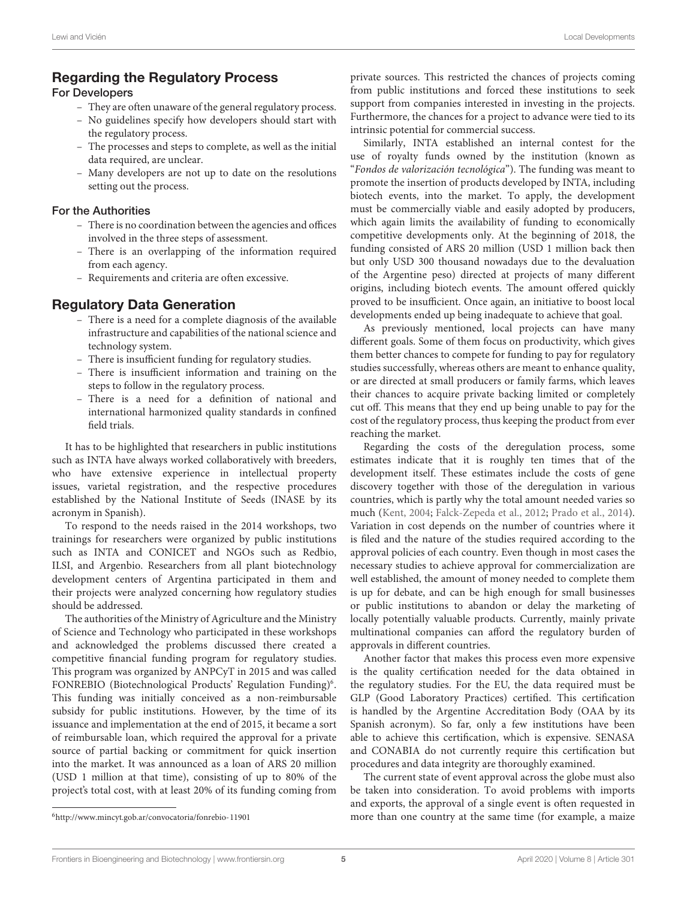## Regarding the Regulatory Process

### For Developers

- They are often unaware of the general regulatory process.
- No guidelines specify how developers should start with the regulatory process.
- The processes and steps to complete, as well as the initial data required, are unclear.
- Many developers are not up to date on the resolutions setting out the process.

### For the Authorities

- There is no coordination between the agencies and offices involved in the three steps of assessment.
- There is an overlapping of the information required from each agency.
- Requirements and criteria are often excessive.

# Regulatory Data Generation

- There is a need for a complete diagnosis of the available infrastructure and capabilities of the national science and technology system.
- There is insufficient funding for regulatory studies.
- There is insufficient information and training on the steps to follow in the regulatory process.
- There is a need for a definition of national and international harmonized quality standards in confined field trials.

It has to be highlighted that researchers in public institutions such as INTA have always worked collaboratively with breeders, who have extensive experience in intellectual property issues, varietal registration, and the respective procedures established by the National Institute of Seeds (INASE by its acronym in Spanish).

To respond to the needs raised in the 2014 workshops, two trainings for researchers were organized by public institutions such as INTA and CONICET and NGOs such as Redbio, ILSI, and Argenbio. Researchers from all plant biotechnology development centers of Argentina participated in them and their projects were analyzed concerning how regulatory studies should be addressed.

The authorities of the Ministry of Agriculture and the Ministry of Science and Technology who participated in these workshops and acknowledged the problems discussed there created a competitive financial funding program for regulatory studies. This program was organized by ANPCyT in 2015 and was called FONREBIO (Biotechnological Products' Regulation Funding)<sup>[6](#page-4-0)</sup>. This funding was initially conceived as a non-reimbursable subsidy for public institutions. However, by the time of its issuance and implementation at the end of 2015, it became a sort of reimbursable loan, which required the approval for a private source of partial backing or commitment for quick insertion into the market. It was announced as a loan of ARS 20 million (USD 1 million at that time), consisting of up to 80% of the project's total cost, with at least 20% of its funding coming from private sources. This restricted the chances of projects coming from public institutions and forced these institutions to seek support from companies interested in investing in the projects. Furthermore, the chances for a project to advance were tied to its intrinsic potential for commercial success.

Similarly, INTA established an internal contest for the use of royalty funds owned by the institution (known as "Fondos de valorización tecnológica"). The funding was meant to promote the insertion of products developed by INTA, including biotech events, into the market. To apply, the development must be commercially viable and easily adopted by producers, which again limits the availability of funding to economically competitive developments only. At the beginning of 2018, the funding consisted of ARS 20 million (USD 1 million back then but only USD 300 thousand nowadays due to the devaluation of the Argentine peso) directed at projects of many different origins, including biotech events. The amount offered quickly proved to be insufficient. Once again, an initiative to boost local developments ended up being inadequate to achieve that goal.

As previously mentioned, local projects can have many different goals. Some of them focus on productivity, which gives them better chances to compete for funding to pay for regulatory studies successfully, whereas others are meant to enhance quality, or are directed at small producers or family farms, which leaves their chances to acquire private backing limited or completely cut off. This means that they end up being unable to pay for the cost of the regulatory process, thus keeping the product from ever reaching the market.

Regarding the costs of the deregulation process, some estimates indicate that it is roughly ten times that of the development itself. These estimates include the costs of gene discovery together with those of the deregulation in various countries, which is partly why the total amount needed varies so much [\(Kent,](#page-5-4) [2004;](#page-5-4) [Falck-Zepeda et al.,](#page-5-5) [2012;](#page-5-5) [Prado et al.,](#page-6-5) [2014\)](#page-6-5). Variation in cost depends on the number of countries where it is filed and the nature of the studies required according to the approval policies of each country. Even though in most cases the necessary studies to achieve approval for commercialization are well established, the amount of money needed to complete them is up for debate, and can be high enough for small businesses or public institutions to abandon or delay the marketing of locally potentially valuable products. Currently, mainly private multinational companies can afford the regulatory burden of approvals in different countries.

Another factor that makes this process even more expensive is the quality certification needed for the data obtained in the regulatory studies. For the EU, the data required must be GLP (Good Laboratory Practices) certified. This certification is handled by the Argentine Accreditation Body (OAA by its Spanish acronym). So far, only a few institutions have been able to achieve this certification, which is expensive. SENASA and CONABIA do not currently require this certification but procedures and data integrity are thoroughly examined.

The current state of event approval across the globe must also be taken into consideration. To avoid problems with imports and exports, the approval of a single event is often requested in more than one country at the same time (for example, a maize

<span id="page-4-0"></span><sup>6</sup><http://www.mincyt.gob.ar/convocatoria/fonrebio-11901>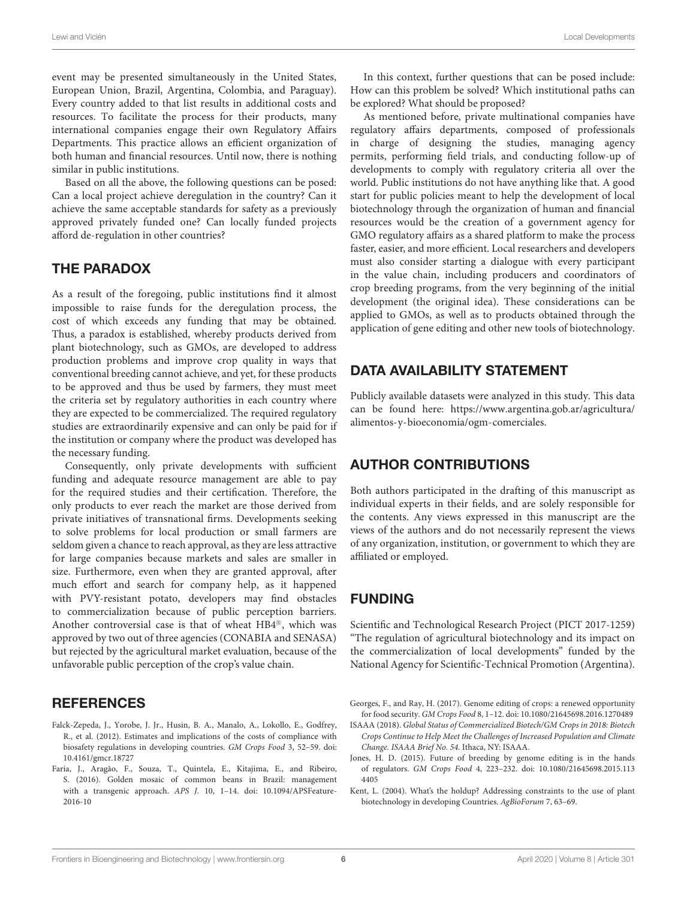event may be presented simultaneously in the United States, European Union, Brazil, Argentina, Colombia, and Paraguay). Every country added to that list results in additional costs and resources. To facilitate the process for their products, many international companies engage their own Regulatory Affairs Departments. This practice allows an efficient organization of both human and financial resources. Until now, there is nothing similar in public institutions.

Based on all the above, the following questions can be posed: Can a local project achieve deregulation in the country? Can it achieve the same acceptable standards for safety as a previously approved privately funded one? Can locally funded projects afford de-regulation in other countries?

## THE PARADOX

As a result of the foregoing, public institutions find it almost impossible to raise funds for the deregulation process, the cost of which exceeds any funding that may be obtained. Thus, a paradox is established, whereby products derived from plant biotechnology, such as GMOs, are developed to address production problems and improve crop quality in ways that conventional breeding cannot achieve, and yet, for these products to be approved and thus be used by farmers, they must meet the criteria set by regulatory authorities in each country where they are expected to be commercialized. The required regulatory studies are extraordinarily expensive and can only be paid for if the institution or company where the product was developed has the necessary funding.

Consequently, only private developments with sufficient funding and adequate resource management are able to pay for the required studies and their certification. Therefore, the only products to ever reach the market are those derived from private initiatives of transnational firms. Developments seeking to solve problems for local production or small farmers are seldom given a chance to reach approval, as they are less attractive for large companies because markets and sales are smaller in size. Furthermore, even when they are granted approval, after much effort and search for company help, as it happened with PVY-resistant potato, developers may find obstacles to commercialization because of public perception barriers. Another controversial case is that of wheat HB4®, which was approved by two out of three agencies (CONABIA and SENASA) but rejected by the agricultural market evaluation, because of the unfavorable public perception of the crop's value chain.

## **REFERENCES**

- <span id="page-5-5"></span>Falck-Zepeda, J., Yorobe, J. Jr., Husin, B. A., Manalo, A., Lokollo, E., Godfrey, R., et al. (2012). Estimates and implications of the costs of compliance with biosafety regulations in developing countries. GM Crops Food 3, 52–59. [doi:](https://doi.org/10.4161/gmcr.18727) [10.4161/gmcr.18727](https://doi.org/10.4161/gmcr.18727)
- <span id="page-5-1"></span>Faria, J., Aragão, F., Souza, T., Quintela, E., Kitajima, E., and Ribeiro, S. (2016). Golden mosaic of common beans in Brazil: management with a transgenic approach. APS J. 10, 1–14. [doi: 10.1094/APSFeature-](https://doi.org/10.1094/APSFeature-2016-10)[2016-10](https://doi.org/10.1094/APSFeature-2016-10)

In this context, further questions that can be posed include: How can this problem be solved? Which institutional paths can be explored? What should be proposed?

As mentioned before, private multinational companies have regulatory affairs departments, composed of professionals in charge of designing the studies, managing agency permits, performing field trials, and conducting follow-up of developments to comply with regulatory criteria all over the world. Public institutions do not have anything like that. A good start for public policies meant to help the development of local biotechnology through the organization of human and financial resources would be the creation of a government agency for GMO regulatory affairs as a shared platform to make the process faster, easier, and more efficient. Local researchers and developers must also consider starting a dialogue with every participant in the value chain, including producers and coordinators of crop breeding programs, from the very beginning of the initial development (the original idea). These considerations can be applied to GMOs, as well as to products obtained through the application of gene editing and other new tools of biotechnology.

# DATA AVAILABILITY STATEMENT

Publicly available datasets were analyzed in this study. This data can be found here: [https://www.argentina.gob.ar/agricultura/](https://www.argentina.gob.ar/agricultura/alimentos-y-bioeconomia/ogm-comerciales) [alimentos-y-bioeconomia/ogm-comerciales.](https://www.argentina.gob.ar/agricultura/alimentos-y-bioeconomia/ogm-comerciales)

## AUTHOR CONTRIBUTIONS

Both authors participated in the drafting of this manuscript as individual experts in their fields, and are solely responsible for the contents. Any views expressed in this manuscript are the views of the authors and do not necessarily represent the views of any organization, institution, or government to which they are affiliated or employed.

# FUNDING

Scientific and Technological Research Project (PICT 2017-1259) "The regulation of agricultural biotechnology and its impact on the commercialization of local developments" funded by the National Agency for Scientific-Technical Promotion (Argentina).

<span id="page-5-3"></span>Georges, F., and Ray, H. (2017). Genome editing of crops: a renewed opportunity for food security. GM Crops Food 8, 1–12. [doi: 10.1080/21645698.2016.1270489](https://doi.org/10.1080/21645698.2016.1270489)

<span id="page-5-0"></span>ISAAA (2018). Global Status of Commercialized Biotech/GM Crops in 2018: Biotech Crops Continue to Help Meet the Challenges of Increased Population and Climate Change. ISAAA Brief No. 54. Ithaca, NY: ISAAA.

<span id="page-5-2"></span>Jones, H. D. (2015). Future of breeding by genome editing is in the hands of regulators. GM Crops Food 4, 223–232. [doi: 10.1080/21645698.2015.113](https://doi.org/10.1080/21645698.2015.1134405) [4405](https://doi.org/10.1080/21645698.2015.1134405)

<span id="page-5-4"></span>Kent, L. (2004). What's the holdup? Addressing constraints to the use of plant biotechnology in developing Countries. AgBioForum 7, 63–69.